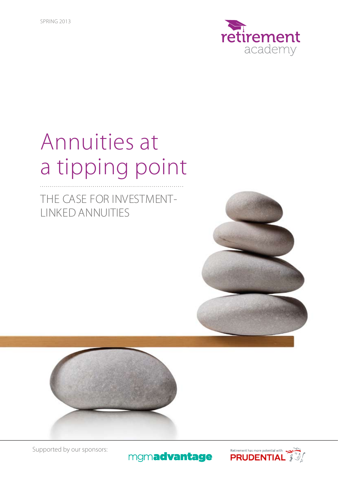

# Annuities at a tipping point

the case for investmentlinked annuities





mgmadvantage

Supported by our sponsors:

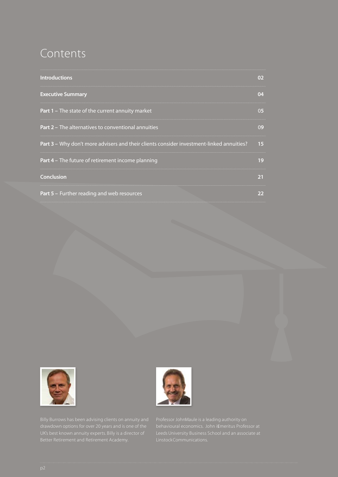### Contents

| <b>Introductions</b>                                                                     |    |
|------------------------------------------------------------------------------------------|----|
| <b>Executive Summary</b>                                                                 |    |
| Part 1 - The state of the current annuity market                                         | 05 |
| Part 2 - The alternatives to conventional annuities                                      | 09 |
| Part 3 – Why don't more advisers and their clients consider investment-linked annuities? | 15 |
| <b>Part 4 - The future of retirement income planning</b>                                 | 19 |
| <b>Conclusion</b>                                                                        | 21 |
| <b>Part 5 - Further reading and web resources</b>                                        |    |



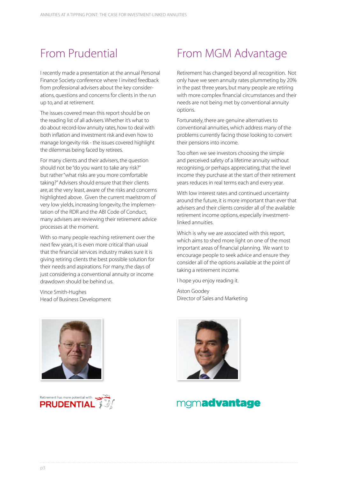I recently made a presentation at the annual Personal Finance Society conference where I invited feedback from professional advisers about the key considerations, questions and concerns for clients in the run up to, and at retirement.

The issues covered mean this report should be on the reading list of all advisers. Whether it's what to do about record-low annuity rates, how to deal with both inflation and investment risk and even how to manage longevity risk - the issues covered highlight the dilemmas being faced by retirees.

For many clients and their advisers, the question should not be "do you want to take any risk?" but rather "what risks are you more comfortable taking?" Advisers should ensure that their clients are, at the very least, aware of the risks and concerns highlighted above. Given the current maelstrom of very low yields, increasing longevity, the implementation of the RDR and the ABI Code of Conduct, many advisers are reviewing their retirement advice processes at the moment.

With so many people reaching retirement over the next few years, it is even more critical than usual that the financial services industry makes sure it is giving retiring clients the best possible solution for their needs and aspirations. For many, the days of just considering a conventional annuity or income drawdown should be behind us.

Vince Smith-Hughes Head of Business Development

## From Prudential From MGM Advantage

Retirement has changed beyond all recognition. Not only have we seen annuity rates plummeting by 20% in the past three years, but many people are retiring with more complex financial circumstances and their needs are not being met by conventional annuity options.

Fortunately, there are genuine alternatives to conventional annuities, which address many of the problems currently facing those looking to convert their pensions into income.

Too often we see investors choosing the simple and perceived safety of a lifetime annuity without recognising, or perhaps appreciating, that the level income they purchase at the start of their retirement years reduces in real terms each and every year.

With low interest rates and continued uncertainty around the future, it is more important than ever that advisers and their clients consider all of the available retirement income options, especially investmentlinked annuities.

Which is why we are associated with this report, which aims to shed more light on one of the most important areas of financial planning. We want to encourage people to seek advice and ensure they consider all of the options available at the point of taking a retirement income.

I hope you enjoy reading it.

Aston Goodey Director of Sales and Marketing







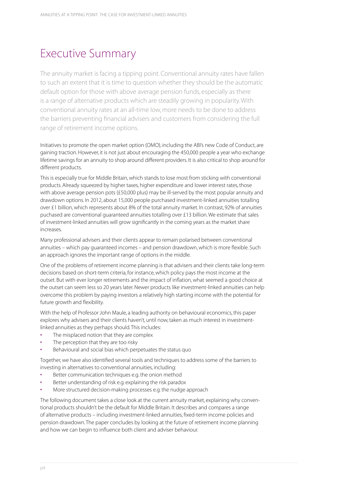### Executive Summary

The annuity market is facing a tipping point. Conventional annuity rates have fallen to such an extent that it is time to question whether they should be the automatic default option for those with above average pension funds, especially as there is a range of alternative products which are steadily growing in popularity. With conventional annuity rates at an all-time low, more needs to be done to address the barriers preventing financial advisers and customers from considering the full range of retirement income options.

Initiatives to promote the open market option (OMO), including the ABI's new Code of Conduct, are gaining traction. However, it is not just about encouraging the 450,000 people a year who exchange lifetime savings for an annuity to shop around different providers. It is also critical to shop around for different products.

This is especially true for Middle Britain, which stands to lose most from sticking with conventional products. Already squeezed by higher taxes, higher expenditure and lower interest rates, those with above average pension pots (£50,000 plus) may be ill-served by the most popular annuity and drawdown options. In 2012, about 15,000 people purchased investment-linked annuities totalling over £1 billion, which represents about 8% of the total annuity market. In contrast, 92% of annuities puchased are conventional guaranteed annuities totalling over £13 billion. We estimate that sales of investment-linked annuities will grow significantly in the coming years as the market share increases.

Many professional advisers and their clients appear to remain polarised between conventional annuities – which pay guaranteed incomes – and pension drawdown, which is more flexible. Such an approach ignores the important range of options in the middle.

One of the problems of retirement income planning is that advisers and their clients take long-term decisions based on short-term criteria, for instance, which policy pays the most income at the outset. But with ever longer retirements and the impact of inflation, what seemed a good choice at the outset can seem less so 20 years later. Newer products like investment-linked annuities can help overcome this problem by paying investors a relatively high starting income with the potential for future growth and flexibility.

With the help of Professor John Maule, a leading authority on behavioural economics, this paper explores why advisers and their clients haven't, until now, taken as much interest in investmentlinked annuities as they perhaps should. This includes:

- The misplaced notion that they are complex
- The perception that they are too risky
- Behavioural and social bias which perpetuates the status quo

Together, we have also identified several tools and techniques to address some of the barriers to investing in alternatives to conventional annuities, including:

- Better communication techniques e.g. the onion method
- Better understanding of risk e.g. explaining the risk paradox
- More structured decision-making processes e.g. the nudge approach

The following document takes a close look at the current annuity market, explaining why conventional products shouldn't be the default for Middle Britain. It describes and compares a range of alternative products – including investment-linked annuities, fixed-term income policies and pension drawdown. The paper concludes by looking at the future of retirement income planning and how we can begin to influence both client and adviser behaviour.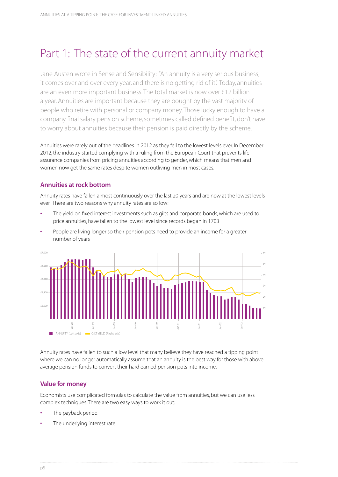### Part 1: The state of the current annuity market

Jane Austen wrote in Sense and Sensibility: "An annuity is a very serious business; it comes over and over every year, and there is no getting rid of it". Today, annuities are an even more important business. The total market is now over £12 billion a year. Annuities are important because they are bought by the vast majority of people who retire with personal or company money. Those lucky enough to have a company final salary pension scheme, sometimes called defined benefit, don't have to worry about annuities because their pension is paid directly by the scheme.

Annuities were rarely out of the headlines in 2012 as they fell to the lowest levels ever. In December 2012, the industry started complying with a ruling from the European Court that prevents life assurance companies from pricing annuities according to gender, which means that men and women now get the same rates despite women outliving men in most cases.

#### Annuities at rock bottom

Annuity rates have fallen almost continuously over the last 20 years and are now at the lowest levels ever. There are two reasons why annuity rates are so low:

- The yield on fixed interest investments such as gilts and corporate bonds, which are used to price annuities, have fallen to the lowest level since records began in 1703
- People are living longer so their pension pots need to provide an income for a greater number of years



Annuity rates have fallen to such a low level that many believe they have reached a tipping point where we can no longer automatically assume that an annuity is the best way for those with above average pension funds to convert their hard earned pension pots into income.

#### Value for money

Economists use complicated formulas to calculate the value from annuities, but we can use less complex techniques. There are two easy ways to work it out:

- The payback period
- The underlying interest rate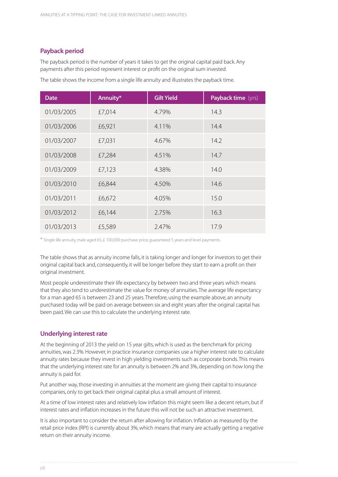#### Payback period

The payback period is the number of years it takes to get the original capital paid back. Any payments after this period represent interest or profit on the original sum invested.

| <b>Date</b> | Annuity* | <b>Gilt Yield</b> | <b>Payback time</b> (yrs) |
|-------------|----------|-------------------|---------------------------|
| 01/03/2005  | £7,014   | 4.79%             | 14.3                      |
| 01/03/2006  | £6,921   | 4.11%             | 14.4                      |
| 01/03/2007  | £7,031   | 4.67%             | 14.2                      |
| 01/03/2008  | £7,284   | 4.51%             | 14.7                      |
| 01/03/2009  | £7,123   | 4.38%             | 14.0                      |
| 01/03/2010  | £6,844   | 4.50%             | 14.6                      |
| 01/03/2011  | £6,672   | 4.05%             | 15.0                      |
| 01/03/2012  | £6,144   | 2.75%             | 16.3                      |
| 01/03/2013  | £5,589   | 2.47%             | 17.9                      |

The table shows the income from a single life annuity and illustrates the payback time.

\* Single life annuity, male aged 65, £ 100,000 purchase price, guaranteed 5 years and level payments.

The table shows that as annuity income falls, it is taking longer and longer for investors to get their original capital back and, consequently, it will be longer before they start to earn a profit on their original investment.

Most people underestimate their life expectancy by between two and three years which means that they also tend to underestimate the value for money of annuities. The average life expectancy for a man aged 65 is between 23 and 25 years. Therefore, using the example above, an annuity purchased today will be paid on average between six and eight years after the original capital has been paid. We can use this to calculate the underlying interest rate.

#### Underlying interest rate

At the beginning of 2013 the yield on 15 year gilts, which is used as the benchmark for pricing annuities, was 2.3%. However, in practice insurance companies use a higher interest rate to calculate annuity rates because they invest in high yielding investments such as corporate bonds. This means that the underlying interest rate for an annuity is between 2% and 3%, depending on how long the annuity is paid for.

Put another way, those investing in annuities at the moment are giving their capital to insurance companies, only to get back their original capital plus a small amount of interest.

At a time of low interest rates and relatively low inflation this might seem like a decent return, but if interest rates and inflation increases in the future this will not be such an attractive investment.

It is also important to consider the return after allowing for inflation. Inflation as measured by the retail price index (RPI) is currently about 3%, which means that many are actually getting a negative return on their annuity income.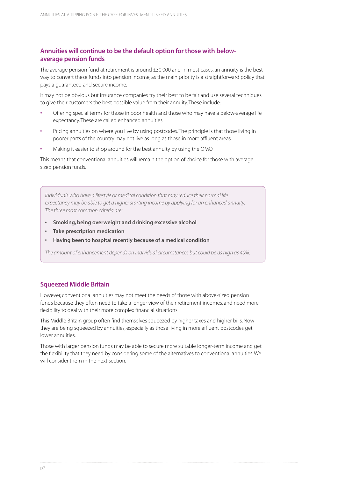#### Annuities will continue to be the default option for those with belowaverage pension funds

The average pension fund at retirement is around £30,000 and, in most cases, an annuity is the best way to convert these funds into pension income, as the main priority is a straightforward policy that pays a guaranteed and secure income.

It may not be obvious but insurance companies try their best to be fair and use several techniques to give their customers the best possible value from their annuity. These include:

- Offering special terms for those in poor health and those who may have a below-average life expectancy. These are called enhanced annuities
- Pricing annuities on where you live by using postcodes. The principle is that those living in poorer parts of the country may not live as long as those in more affluent areas
- Making it easier to shop around for the best annuity by using the OMO

This means that conventional annuities will remain the option of choice for those with average sized pension funds.

*Individuals who have a lifestyle or medical condition that may reduce their normal life expectancy may be able to get a higher starting income by applying for an enhanced annuity. The three most common criteria are:*

- Smoking, being overweight and drinking excessive alcohol
- • Take prescription medication
- Having been to hospital recently because of a medical condition

*The amount of enhancement depends on individual circumstances but could be as high as 40%.*

#### Squeezed Middle Britain

However, conventional annuities may not meet the needs of those with above-sized pension funds because they often need to take a longer view of their retirement incomes, and need more flexibility to deal with their more complex financial situations.

This Middle Britain group often find themselves squeezed by higher taxes and higher bills. Now they are being squeezed by annuities, especially as those living in more affluent postcodes get lower annuities.

Those with larger pension funds may be able to secure more suitable longer-term income and get the flexibility that they need by considering some of the alternatives to conventional annuities. We will consider them in the next section.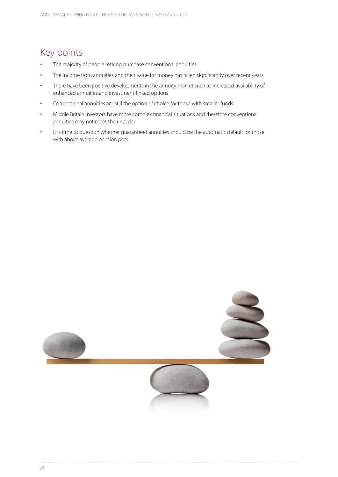### Key points

- The majority of people retiring purchase conventional annuities
- The income from annuities and their value for money has fallen significantly over recent years
- There have been positive developments in the annuity market such as increased availability of enhanced annuities and investment-linked options
- Conventional annuities are still the option of choice for those with smaller funds
- Middle Britain investors have more complex financial situations and therefore conventional annuities may not meet their needs
- It is time to question whether guaranteed annuities should be the automatic default for those with above average pension pots

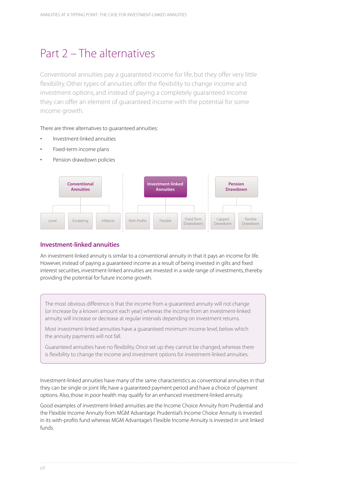### Part 2 – The alternatives

Conventional annuities pay a guaranteed income for life, but they offer very little flexibility. Other types of annuities offer the flexibility to change income and investment options, and instead of paying a completely guaranteed income they can offer an element of guaranteed income with the potential for some income growth.

#### There are three alternatives to guaranteed annuities:

- Investment-linked annuities
- Fixed-term income plans
- Pension drawdown policies



#### Investment-linked annuities

An investment-linked annuity is similar to a conventional annuity in that it pays an income for life. However, instead of paying a guaranteed income as a result of being invested in gilts and fixed interest securities, investment-linked annuities are invested in a wide range of investments, thereby providing the potential for future income growth.

The most obvious difference is that the income from a guaranteed annuity will not change (or increase by a known amount each year) whereas the income from an investment-linked annuity will increase or decrease at regular intervals depending on investment returns.

Most investment-linked annuities have a guaranteed minimum income level, below which the annuity payments will not fall.

Guaranteed annuities have no flexibility. Once set up they cannot be changed, whereas there is flexibility to change the income and investment options for investment-linked annuities.

Investment-linked annuities have many of the same characteristics as conventional annuities in that they can be single or joint life, have a guaranteed payment period and have a choice of payment options. Also, those in poor health may qualify for an enhanced investment-linked annuity.

Good examples of investment-linked annuities are the Income Choice Annuity from Prudential and the Flexible Income Annuity from MGM Advantage. Prudential's Income Choice Annuity is invested in its with-profits fund whereas MGM Advantage's Flexible Income Annuity is invested in unit linked funds.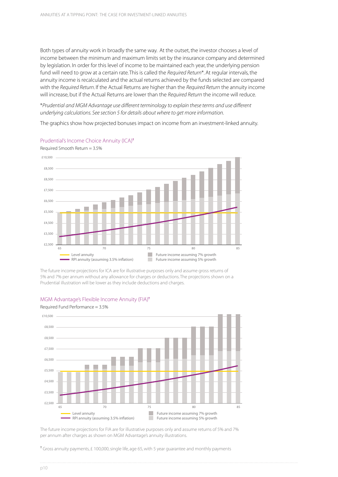Both types of annuity work in broadly the same way. At the outset, the investor chooses a level of income between the minimum and maximum limits set by the insurance company and determined by legislation. In order for this level of income to be maintained each year, the underlying pension fund will need to grow at a certain rate. This is called the *Required Return*\*. At regular intervals, the annuity income is recalculated and the actual returns achieved by the funds selected are compared with the *Required Return*. If the Actual Returns are higher than the *Required Return* the annuity income will increase, but if the Actual Returns are lower than the *Required Return* the income will reduce.

\**Prudential and MGM Advantage use different terminology to explain these terms and use different underlying calculations. See section 5 for details about where to get more information.* 

The graphics show how projected bonuses impact on income from an investment-linked annuity.



#### Prudential's Income Choice Annuity (ICA)<sup>+</sup>

Required Smooth Return = 3.5%

The future income projections for ICA are for illustrative purposes only and assume gross returns of 5% and 7% per annum without any allowance for charges or deductions. The projections shown on a Prudential illustration will be lower as they include deductions and charges.



MGM Advantage's Flexible Income Annuity (FIA)<sup>+</sup> Required Fund Performance = 3.5%

The future income projections for FIA are for illustrative purposes only and assume returns of 5% and 7% per annum after charges as shown on MGM Advantage's annuity illustrations.

<sup>+</sup> Gross annuity payments, £ 100,000, single life, age 65, with 5 year guarantee and monthly payments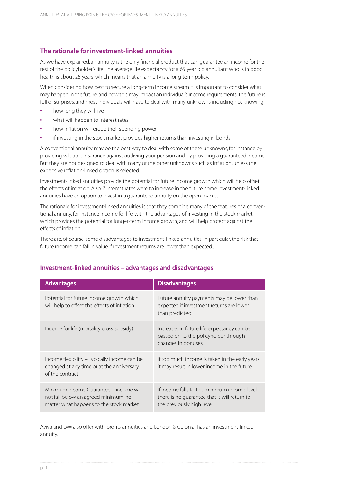#### The rationale for investment-linked annuities

As we have explained, an annuity is the only financial product that can guarantee an income for the rest of the policyholder's life. The average life expectancy for a 65 year old annuitant who is in good health is about 25 years, which means that an annuity is a long-term policy.

When considering how best to secure a long-term income stream it is important to consider what may happen in the future, and how this may impact an individual's income requirements. The future is full of surprises, and most individuals will have to deal with many unknowns including not knowing:

- how long they will live
- what will happen to interest rates
- how inflation will erode their spending power
- if investing in the stock market provides higher returns than investing in bonds

A conventional annuity may be the best way to deal with some of these unknowns, for instance by providing valuable insurance against outliving your pension and by providing a guaranteed income. But they are not designed to deal with many of the other unknowns such as inflation, unless the expensive inflation-linked option is selected.

Investment-linked annuities provide the potential for future income growth which will help offset the effects of inflation. Also, if interest rates were to increase in the future, some investment-linked annuities have an option to invest in a guaranteed annuity on the open market.

The rationale for investment-linked annuities is that they combine many of the features of a conventional annuity, for instance income for life, with the advantages of investing in the stock market which provides the potential for longer-term income growth, and will help protect against the effects of inflation.

There are, of course, some disadvantages to investment-linked annuities, in particular, the risk that future income can fall in value if investment returns are lower than expected..

| <b>Advantages</b>                                                                                                         | <b>Disadvantages</b>                                                                                                     |
|---------------------------------------------------------------------------------------------------------------------------|--------------------------------------------------------------------------------------------------------------------------|
| Potential for future income growth which<br>will help to offset the effects of inflation                                  | Future annuity payments may be lower than<br>expected if investment returns are lower<br>than predicted                  |
| Income for life (mortality cross subsidy)                                                                                 | Increases in future life expectancy can be<br>passed on to the policyholder through<br>changes in bonuses                |
| Income flexibility - Typically income can be<br>changed at any time or at the anniversary<br>of the contract              | If too much income is taken in the early years<br>it may result in lower income in the future                            |
| Minimum Income Guarantee – income will<br>not fall below an agreed minimum, no<br>matter what happens to the stock market | If income falls to the minimum income level<br>there is no quarantee that it will return to<br>the previously high level |

#### Investment-linked annuities – advantages and disadvantages

Aviva and LV= also offer with-profits annuities and London & Colonial has an investment-linked annuity.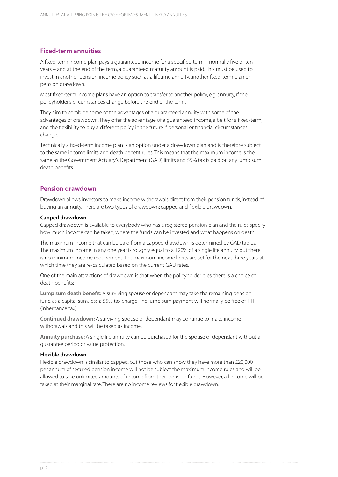#### Fixed-term annuities

A fixed-term income plan pays a guaranteed income for a specified term – normally five or ten years – and at the end of the term, a guaranteed maturity amount is paid. This must be used to invest in another pension income policy such as a lifetime annuity, another fixed-term plan or pension drawdown.

Most fixed-term income plans have an option to transfer to another policy, e.g. annuity, if the policyholder's circumstances change before the end of the term.

They aim to combine some of the advantages of a guaranteed annuity with some of the advantages of drawdown. They offer the advantage of a guaranteed income, albeit for a fixed-term, and the flexibility to buy a different policy in the future if personal or financial circumstances change.

Technically a fixed-term income plan is an option under a drawdown plan and is therefore subject to the same income limits and death benefit rules. This means that the maximum income is the same as the Government Actuary's Department (GAD) limits and 55% tax is paid on any lump sum death benefits.

#### Pension drawdown

Drawdown allows investors to make income withdrawals direct from their pension funds, instead of buying an annuity. There are two types of drawdown: capped and flexible drawdown.

#### Capped drawdown

Capped drawdown is available to everybody who has a registered pension plan and the rules specify how much income can be taken, where the funds can be invested and what happens on death.

The maximum income that can be paid from a capped drawdown is determined by GAD tables. The maximum income in any one year is roughly equal to a 120% of a single life annuity, but there is no minimum income requirement. The maximum income limits are set for the next three years, at which time they are re-calculated based on the current GAD rates.

One of the main attractions of drawdown is that when the policyholder dies, there is a choice of death benefits:

Lump sum death benefit: A surviving spouse or dependant may take the remaining pension fund as a capital sum, less a 55% tax charge. The lump sum payment will normally be free of IHT (inheritance tax).

Continued drawdown: A surviving spouse or dependant may continue to make income withdrawals and this will be taxed as income.

Annuity purchase: A single life annuity can be purchased for the spouse or dependant without a guarantee period or value protection.

#### Flexible drawdown

Flexible drawdown is similar to capped, but those who can show they have more than £20,000 per annum of secured pension income will not be subject the maximum income rules and will be allowed to take unlimited amounts of income from their pension funds. However, all income will be taxed at their marginal rate. There are no income reviews for flexible drawdown.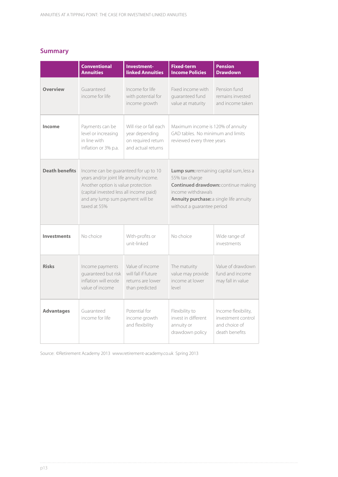### Summary

|                       | <b>Conventional</b><br><b>Annuities</b>                                                                                                                                                                               | <b>Investment-</b><br><b>linked Annuities</b>                                        | <b>Fixed-term</b><br><b>Income Policies</b>                                                                                                                                                            | <b>Pension</b><br><b>Drawdown</b>                                            |
|-----------------------|-----------------------------------------------------------------------------------------------------------------------------------------------------------------------------------------------------------------------|--------------------------------------------------------------------------------------|--------------------------------------------------------------------------------------------------------------------------------------------------------------------------------------------------------|------------------------------------------------------------------------------|
| <b>Overview</b>       | Guaranteed<br>income for life                                                                                                                                                                                         | Income for life<br>with potential for<br>income growth                               | Fixed income with<br>quaranteed fund<br>value at maturity                                                                                                                                              | Pension fund<br>remains invested<br>and income taken                         |
| Income                | Payments can be<br>level or increasing<br>in line with<br>inflation or 3% p.a.                                                                                                                                        | Will rise or fall each<br>year depending<br>on required return<br>and actual returns | Maximum income is 120% of annuity<br>GAD tables. No minimum and limits<br>reviewed every three years                                                                                                   |                                                                              |
| <b>Death benefits</b> | Income can be guaranteed for up to 10<br>years and/or joint life annuity income.<br>Another option is value protection<br>(capital invested less all income paid)<br>and any lump sum payment will be<br>taxed at 55% |                                                                                      | Lump sum: remaining capital sum, less a<br>55% tax charge<br><b>Continued drawdown: continue making</b><br>income withdrawals<br>Annuity purchase: a single life annuity<br>without a quarantee period |                                                                              |
| <b>Investments</b>    | No choice                                                                                                                                                                                                             | With-profits or<br>unit-linked                                                       | No choice                                                                                                                                                                                              | Wide range of<br>investments                                                 |
| <b>Risks</b>          | Income payments<br>quaranteed but risk<br>inflation will erode<br>value of income                                                                                                                                     | Value of income<br>will fall if future<br>returns are lower<br>than predicted        | The maturity<br>value may provide<br>income at lower<br>level                                                                                                                                          | Value of drawdown<br>fund and income<br>may fall in value                    |
| <b>Advantages</b>     | Guaranteed<br>income for life                                                                                                                                                                                         | Potential for<br>income growth<br>and flexibility                                    | Flexibility to<br>invest in different<br>annuity or<br>drawdown policy                                                                                                                                 | Income flexibility,<br>investment control<br>and choice of<br>death benefits |

Source: ©Retirement Academy 2013 www.retirement-academy.co.uk Spring 2013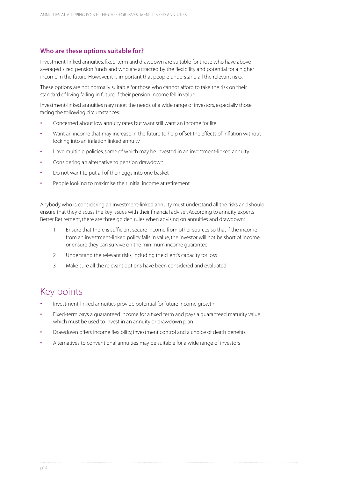#### Who are these options suitable for?

Investment-linked annuities, fixed-term and drawdown are suitable for those who have above averaged sized pension funds and who are attracted by the flexibility and potential for a higher income in the future. However, it is important that people understand all the relevant risks.

These options are not normally suitable for those who cannot afford to take the risk on their standard of living falling in future, if their pension income fell in value.

Investment-linked annuities may meet the needs of a wide range of investors, especially those facing the following circumstances:

- Concerned about low annuity rates but want still want an income for life
- Want an income that may increase in the future to help offset the effects of inflation without locking into an inflation linked annuity
- Have multiple policies, some of which may be invested in an investment-linked annuity
- Considering an alternative to pension drawdown
- Do not want to put all of their eggs into one basket
- People looking to maximise their initial income at retirement

Anybody who is considering an investment-linked annuity must understand all the risks and should ensure that they discuss the key issues with their financial adviser. According to annuity experts Better Retirement, there are three golden rules when advising on annuities and drawdown:

- 1 Ensure that there is sufficient secure income from other sources so that if the income from an investment-linked policy falls in value, the investor will not be short of income, or ensure they can survive on the minimum income guarantee
- 2 Understand the relevant risks, including the client's capacity for loss
- 3 Make sure all the relevant options have been considered and evaluated

### Key points

- Investment-linked annuities provide potential for future income growth
- Fixed-term pays a guaranteed income for a fixed term and pays a guaranteed maturity value which must be used to invest in an annuity or drawdown plan
- Drawdown offers income flexibility, investment control and a choice of death benefits
- Alternatives to conventional annuities may be suitable for a wide range of investors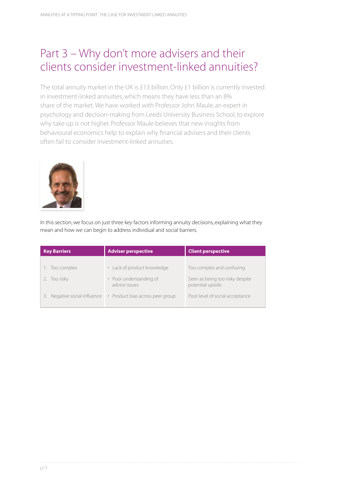### Part 3 – Why don't more advisers and their clients consider investment-linked annuities?

The total annuity market in the UK is £13 billion. Only £1 billion is currently invested in investment-linked annuities, which means they have less than an 8% share of the market. We have worked with Professor John Maule, an expert in psychology and decision-making from Leeds University Business School, to explore why take up is not higher. Professor Maule believes that new insights from behavioural economics help to explain why financial advisers and their clients often fail to consider investment-linked annuities.



In this section, we focus on just three key factors informing annuity decisions, explaining what they mean and how we can begin to address individual and social barriers.

| <b>Key Barriers</b>                    | <b>Adviser perspective</b>               | <b>Client perspective</b>                           |
|----------------------------------------|------------------------------------------|-----------------------------------------------------|
| 1. Too complex                         | · Lack of product knowledge              | Too complex and confusing                           |
| 2. Too risky                           | • Poor understanding of<br>advice issues | Seen as being too risky despite<br>potential upside |
| Negative social influence<br>$\beta$ . | • Product bias across peer group         | Poor level of social acceptance                     |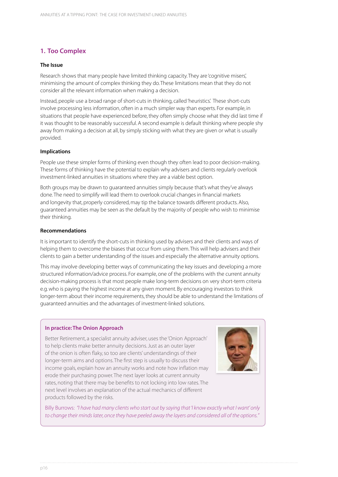#### 1. Too Complex

#### The Issue

Research shows that many people have limited thinking capacity. They are 'cognitive misers', minimising the amount of complex thinking they do. These limitations mean that they do not consider all the relevant information when making a decision.

Instead, people use a broad range of short-cuts in thinking, called 'heuristics'. These short-cuts involve processing less information, often in a much simpler way than experts. For example, in situations that people have experienced before, they often simply choose what they did last time if it was thought to be reasonably successful. A second example is default thinking where people shy away from making a decision at all, by simply sticking with what they are given or what is usually provided.

#### Implications

People use these simpler forms of thinking even though they often lead to poor decision-making. These forms of thinking have the potential to explain why advisers and clients regularly overlook investment-linked annuities in situations where they are a viable best option.

Both groups may be drawn to guaranteed annuities simply because that's what they've always done. The need to simplify will lead them to overlook crucial changes in financial markets and longevity that, properly considered, may tip the balance towards different products. Also, guaranteed annuities may be seen as the default by the majority of people who wish to minimise their thinking.

#### Recommendations

It is important to identify the short-cuts in thinking used by advisers and their clients and ways of helping them to overcome the biases that occur from using them. This will help advisers and their clients to gain a better understanding of the issues and especially the alternative annuity options.

This may involve developing better ways of communicating the key issues and developing a more structured information/advice process. For example, one of the problems with the current annuity decision-making process is that most people make long-term decisions on very short-term criteria e.g. who is paying the highest income at any given moment. By encouraging investors to think longer-term about their income requirements, they should be able to understand the limitations of guaranteed annuities and the advantages of investment-linked solutions.

#### In practice:The Onion Approach

Better Retirement, a specialist annuity adviser, uses the 'Onion Approach' to help clients make better annuity decisions. Just as an outer layer of the onion is often flaky, so too are clients' understandings of their longer-term aims and options. The first step is usually to discuss their income goals, explain how an annuity works and note how inflation may erode their purchasing power. The next layer looks at current annuity rates, noting that there may be benefits to not locking into low rates. The next level involves an explanation of the actual mechanics of different products followed by the risks.



Billy Burrows: *"I have had many clients who start out by saying that 'I know exactly what I want' only to change their minds later, once they have peeled away the layers and considered all of the options."*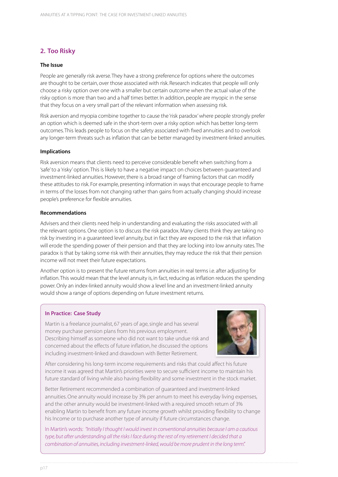#### 2. Too Risky

#### The Issue

People are generally risk averse. They have a strong preference for options where the outcomes are thought to be certain, over those associated with risk. Research indicates that people will only choose a risky option over one with a smaller but certain outcome when the actual value of the risky option is more than two and a half times better. In addition, people are myopic in the sense that they focus on a very small part of the relevant information when assessing risk.

Risk aversion and myopia combine together to cause the 'risk paradox' where people strongly prefer an option which is deemed safe in the short-term over a risky option which has better long-term outcomes. This leads people to focus on the safety associated with fixed annuities and to overlook any longer-term threats such as inflation that can be better managed by investment-linked annuities.

#### Implications

Risk aversion means that clients need to perceive considerable benefit when switching from a 'safe' to a 'risky' option. This is likely to have a negative impact on choices between guaranteed and investment-linked annuities. However, there is a broad range of framing factors that can modify these attitudes to risk. For example, presenting information in ways that encourage people to frame in terms of the losses from not changing rather than gains from actually changing should increase people's preference for flexible annuities.

#### Recommendations

Advisers and their clients need help in understanding and evaluating the risks associated with all the relevant options. One option is to discuss the risk paradox. Many clients think they are taking no risk by investing in a guaranteed level annuity, but in fact they are exposed to the risk that inflation will erode the spending power of their pension and that they are locking into low annuity rates. The paradox is that by taking some risk with their annuities, they may reduce the risk that their pension income will not meet their future expectations.

Another option is to present the future returns from annuities in real terms i.e. after adjusting for inflation. This would mean that the level annuity is, in fact, reducing as inflation reduces the spending power. Only an index-linked annuity would show a level line and an investment-linked annuity would show a range of options depending on future investment returns.

#### In Practice: Case Study

Martin is a freelance journalist, 67 years of age, single and has several money purchase pension plans from his previous employment. Describing himself as someone who did not want to take undue risk and concerned about the effects of future inflation, he discussed the options including investment-linked and drawdown with Better Retirement.



After considering his long-term income requirements and risks that could affect his future income it was agreed that Martin's priorities were to secure sufficient income to maintain his future standard of living while also having flexibility and some investment in the stock market.

Better Retirement recommended a combination of guaranteed and investment-linked annuities. One annuity would increase by 3% per annum to meet his everyday living expenses, and the other annuity would be investment-linked with a required smooth return of 3% enabling Martin to benefit from any future income growth whilst providing flexibility to change his Income or to purchase another type of annuity if future circumstances change.

In Martin's words: *"Initially I thought I would invest in conventional annuities because I am a cautious type, but after understanding all the risks I face during the rest of my retirement I decided that a combination of annuities, including investment-linked, would be more prudent in the long term".*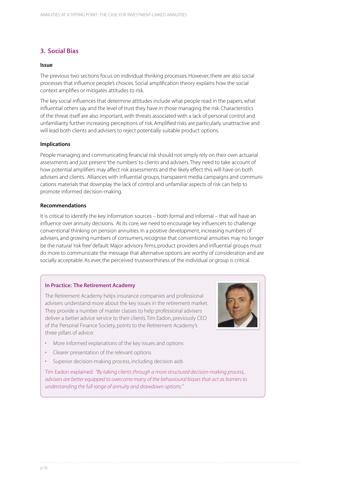#### 3. Social Bias

#### Issue

The previous two sections focus on individual thinking processes. However, there are also social processes that influence people's choices. Social amplification theory explains how the social context amplifies or mitigates attitudes to risk.

The key social influences that determine attitudes include what people read in the papers, what influential others say and the level of trust they have in those managing the risk. Characteristics of the threat itself are also important, with threats associated with a lack of personal control and unfamiliarity further increasing perceptions of risk. Amplified risks are particularly unattractive and will lead both clients and advisers to reject potentially suitable product options.

#### Implications

People managing and communicating financial risk should not simply rely on their own actuarial assessments and just present 'the numbers' to clients and advisers. They need to take account of how potential amplifiers may affect risk assessments and the likely effect this will have on both advisers and clients. Alliances with influential groups, transparent media campaigns and communications materials that downplay the lack of control and unfamiliar aspects of risk can help to promote informed decision-making.

#### Recommendations

It is critical to identify the key information sources – both formal and informal – that will have an influence over annuity decisions. At its core, we need to encourage key influencers to challenge conventional thinking on pension annuities. In a positive development, increasing numbers of advisers, and growing numbers of consumers, recognise that conventional annuities may no longer be the natural 'risk free' default. Major advisory firms, product providers and influential groups must do more to communicate the message that alternative options are worthy of consideration and are socially acceptable. As ever, the perceived trustworthiness of the individual or group is critical.

#### In Practice: The Retirement Academy

The Retirement Academy helps insurance companies and professional advisers understand more about the key issues in the retirement market. They provide a number of master classes to help professional advisers deliver a better advice service to their clients. Tim Eadon, previously CEO of the Personal Finance Society, points to the Retirement Academy's three pillars of advice:



- More informed explanations of the key issues and options
- Clearer presentation of the relevant options
- Superior decision-making process, including decision aids

Tim Eadon explained: *"By taking clients through a more structured decision-making process, advisers are better equipped to overcome many of the behavioural biases that act as barriers to understanding the full range of annuity and drawdown options."*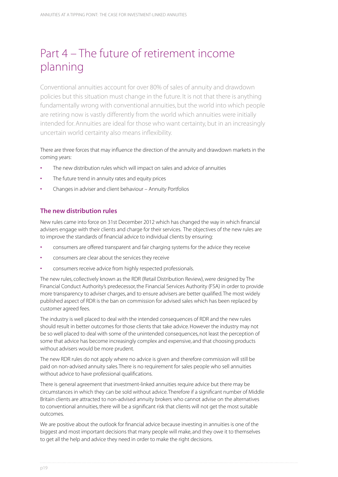### Part 4 – The future of retirement income planning

Conventional annuities account for over 80% of sales of annuity and drawdown policies but this situation must change in the future. It is not that there is anything fundamentally wrong with conventional annuities, but the world into which people are retiring now is vastly differently from the world which annuities were initially intended for. Annuities are ideal for those who want certainty, but in an increasingly uncertain world certainty also means inflexibility.

#### There are three forces that may influence the direction of the annuity and drawdown markets in the coming years:

- The new distribution rules which will impact on sales and advice of annuities
- The future trend in annuity rates and equity prices
- Changes in adviser and client behaviour Annuity Portfolios

#### The new distribution rules

New rules came into force on 31st December 2012 which has changed the way in which financial advisers engage with their clients and charge for their services. The objectives of the new rules are to improve the standards of financial advice to individual clients by ensuring:

- consumers are offered transparent and fair charging systems for the advice they receive
- consumers are clear about the services they receive
- consumers receive advice from highly respected professionals.

The new rules, collectively known as the RDR (Retail Distribution Review), were designed by The Financial Conduct Authority's predecessor, the Financial Services Authority (FSA) in order to provide more transparency to adviser charges, and to ensure advisers are better qualified. The most widely published aspect of RDR is the ban on commission for advised sales which has been replaced by customer agreed fees.

The industry is well placed to deal with the intended consequences of RDR and the new rules should result in better outcomes for those clients that take advice. However the industry may not be so well placed to deal with some of the unintended consequences, not least the perception of some that advice has become increasingly complex and expensive, and that choosing products without advisers would be more prudent.

The new RDR rules do not apply where no advice is given and therefore commission will still be paid on non-advised annuity sales. There is no requirement for sales people who sell annuities without advice to have professional qualifications.

There is general agreement that investment-linked annuities require advice but there may be circumstances in which they can be sold without advice. Therefore if a significant number of Middle Britain clients are attracted to non-advised annuity brokers who cannot advise on the alternatives to conventional annuities, there will be a significant risk that clients will not get the most suitable outcomes.

We are positive about the outlook for financial advice because investing in annuities is one of the biggest and most important decisions that many people will make, and they owe it to themselves to get all the help and advice they need in order to make the right decisions.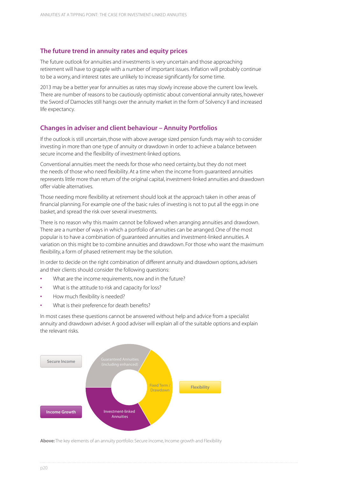#### The future trend in annuity rates and equity prices

The future outlook for annuities and investments is very uncertain and those approaching retirement will have to grapple with a number of important issues. Inflation will probably continue to be a worry, and interest rates are unlikely to increase significantly for some time.

2013 may be a better year for annuities as rates may slowly increase above the current low levels. There are number of reasons to be cautiously optimistic about conventional annuity rates, however the Sword of Damocles still hangs over the annuity market in the form of Solvency II and increased life expectancy.

#### Changes in adviser and client behaviour – Annuity Portfolios

If the outlook is still uncertain, those with above average sized pension funds may wish to consider investing in more than one type of annuity or drawdown in order to achieve a balance between secure income and the flexibility of investment-linked options.

Conventional annuities meet the needs for those who need certainty, but they do not meet the needs of those who need flexibility. At a time when the income from guaranteed annuities represents little more than return of the original capital, investment-linked annuities and drawdown offer viable alternatives.

Those needing more flexibility at retirement should look at the approach taken in other areas of financial planning. For example one of the basic rules of investing is not to put all the eggs in one basket, and spread the risk over several investments.

There is no reason why this maxim cannot be followed when arranging annuities and drawdown. There are a number of ways in which a portfolio of annuities can be arranged. One of the most popular is to have a combination of guaranteed annuities and investment-linked annuities. A variation on this might be to combine annuities and drawdown. For those who want the maximum flexibility, a form of phased retirement may be the solution.

In order to decide on the right combination of different annuity and drawdown options, advisers and their clients should consider the following questions:

- What are the income requirements, now and in the future?
- What is the attitude to risk and capacity for loss?
- How much flexibility is needed?
- What is their preference for death benefits?

In most cases these questions cannot be answered without help and advice from a specialist annuity and drawdown adviser. A good adviser will explain all of the suitable options and explain the relevant risks.



Above: The key elements of an annuity portfolio: Secure income, Income growth and Flexibility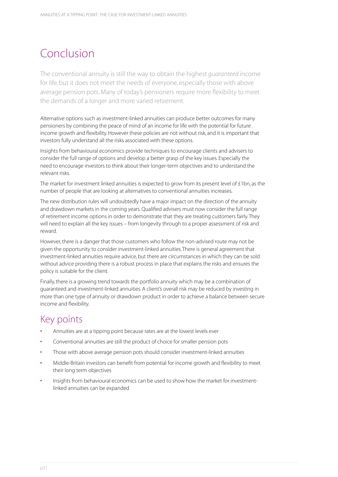### Conclusion

The conventional annuity is still the way to obtain the highest *guaranteed* income for life, but it does not meet the needs of everyone, especially those with above average pension pots. Many of today's pensioners require more flexibility to meet the demands of a longer and more varied retirement.

Alternative options such as investment-linked annuities can produce better outcomes for many pensioners by combining the peace of mind of an income for life with the potential for future income growth and flexibility. However these policies are not without risk, and it is important that investors fully understand all the risks associated with these options.

Insights from behavioural economics provide techniques to encourage clients and advisers to consider the full range of options and develop a better grasp of the key issues. Especially the need to encourage investors to think about their longer-term objectives and to understand the relevant risks.

The market for investment linked annuities is expected to grow from its present level of £1bn, as the number of people that are looking at alternatives to conventional annuities increases.

The new distribution rules will undoubtedly have a major impact on the direction of the annuity and drawdown markets in the coming years. Qualified advisers must now consider the full range of retirement income options in order to demonstrate that they are treating customers fairly. They will need to explain all the key issues – from longevity through to a proper assessment of risk and reward.

However, there is a danger that those customers who follow the non-advised route may not be given the opportunity to consider investment-linked annuities. There is general agreement that investment-linked annuities require advice, but there are circumstances in which they can be sold without advice providing there is a robust process in place that explains the risks and ensures the policy is suitable for the client.

Finally, there is a growing trend towards the portfolio annuity which may be a combination of guaranteed and investment-linked annuities. A client's overall risk may be reduced by investing in more than one type of annuity or drawdown product in order to achieve a balance between secure income and flexibility.

### Key points

- Annuities are at a tipping point because rates are at the lowest levels ever
- Conventional annuities are still the product of choice for smaller pension pots
- Those with above average pension pots should consider investment-linked annuities
- Middle-Britain investors can benefit from potential for income growth and flexibility to meet their long term objectives
- Insights from behavioural economics can be used to show how the market for investmentlinked annuities can be expanded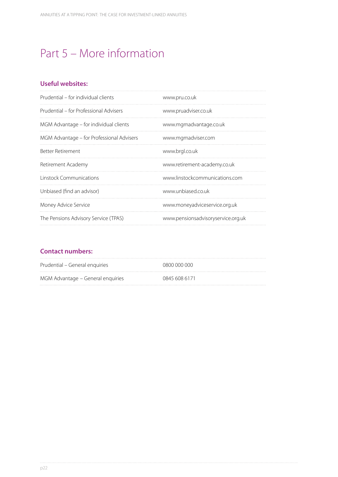### Part 5 – More information

#### Useful websites:

| Prudential – for individual clients       | www.pru.co.uk                      |
|-------------------------------------------|------------------------------------|
| Prudential – for Professional Advisers    | www.pruadviser.co.uk               |
| MGM Advantage – for individual clients    | www.mgmadvantage.co.uk             |
| MGM Advantage – for Professional Advisers | www.mgmadviser.com                 |
| <b>Better Retirement</b>                  | www.brgl.co.uk                     |
| Retirement Academy                        | www.retirement-academy.co.uk       |
| <b>Linstock Communications</b>            | www.linstockcommunications.com     |
| Unbiased (find an advisor)                | www.unbiased.co.uk                 |
| Money Advice Service                      | www.moneyadviceservice.org.uk      |
| The Pensions Advisory Service (TPAS)      | www.pensionsadvisoryservice.org.uk |

#### Contact numbers:

| Prudential – General enquiries    | 0800 000 000  |
|-----------------------------------|---------------|
| MGM Advantage – General enquiries | 0845 608 6171 |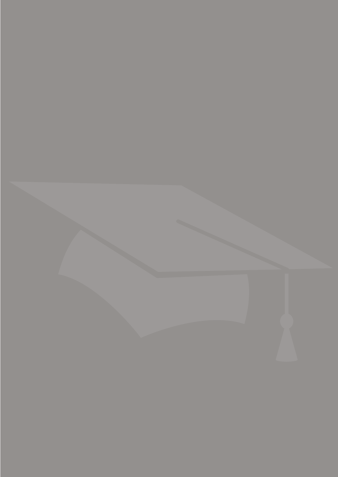